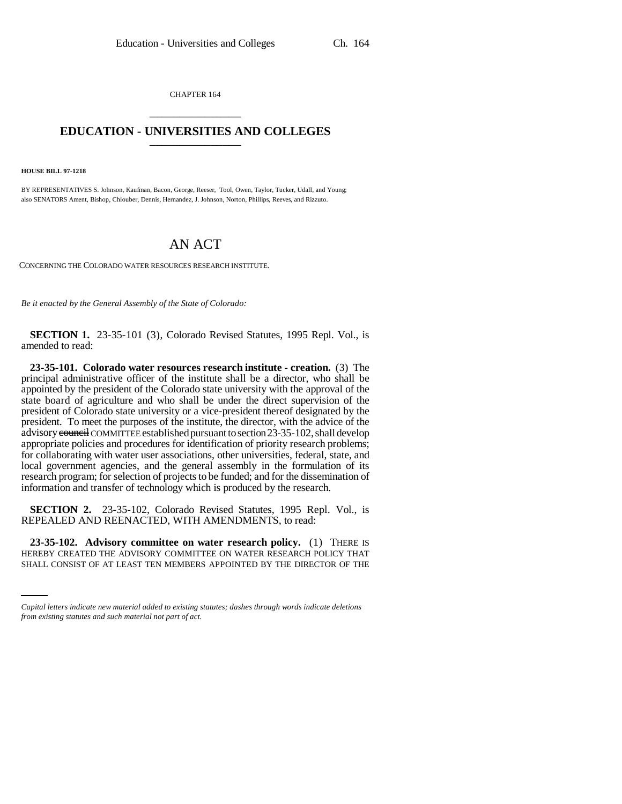CHAPTER 164 \_\_\_\_\_\_\_\_\_\_\_\_\_\_\_

## **EDUCATION - UNIVERSITIES AND COLLEGES** \_\_\_\_\_\_\_\_\_\_\_\_\_\_\_

**HOUSE BILL 97-1218**

BY REPRESENTATIVES S. Johnson, Kaufman, Bacon, George, Reeser, Tool, Owen, Taylor, Tucker, Udall, and Young; also SENATORS Ament, Bishop, Chlouber, Dennis, Hernandez, J. Johnson, Norton, Phillips, Reeves, and Rizzuto.

## AN ACT

CONCERNING THE COLORADO WATER RESOURCES RESEARCH INSTITUTE.

*Be it enacted by the General Assembly of the State of Colorado:*

**SECTION 1.** 23-35-101 (3), Colorado Revised Statutes, 1995 Repl. Vol., is amended to read:

**23-35-101. Colorado water resources research institute - creation.** (3) The principal administrative officer of the institute shall be a director, who shall be appointed by the president of the Colorado state university with the approval of the state board of agriculture and who shall be under the direct supervision of the president of Colorado state university or a vice-president thereof designated by the president. To meet the purposes of the institute, the director, with the advice of the advisory council COMMITTEE established pursuant to section 23-35-102, shall develop appropriate policies and procedures for identification of priority research problems; for collaborating with water user associations, other universities, federal, state, and local government agencies, and the general assembly in the formulation of its research program; for selection of projects to be funded; and for the dissemination of information and transfer of technology which is produced by the research.

**SECTION 2.** 23-35-102, Colorado Revised Statutes, 1995 Repl. Vol., is REPEALED AND REENACTED, WITH AMENDMENTS, to read:

 **23-35-102. Advisory committee on water research policy.** (1) THERE IS HEREBY CREATED THE ADVISORY COMMITTEE ON WATER RESEARCH POLICY THAT SHALL CONSIST OF AT LEAST TEN MEMBERS APPOINTED BY THE DIRECTOR OF THE

*Capital letters indicate new material added to existing statutes; dashes through words indicate deletions from existing statutes and such material not part of act.*